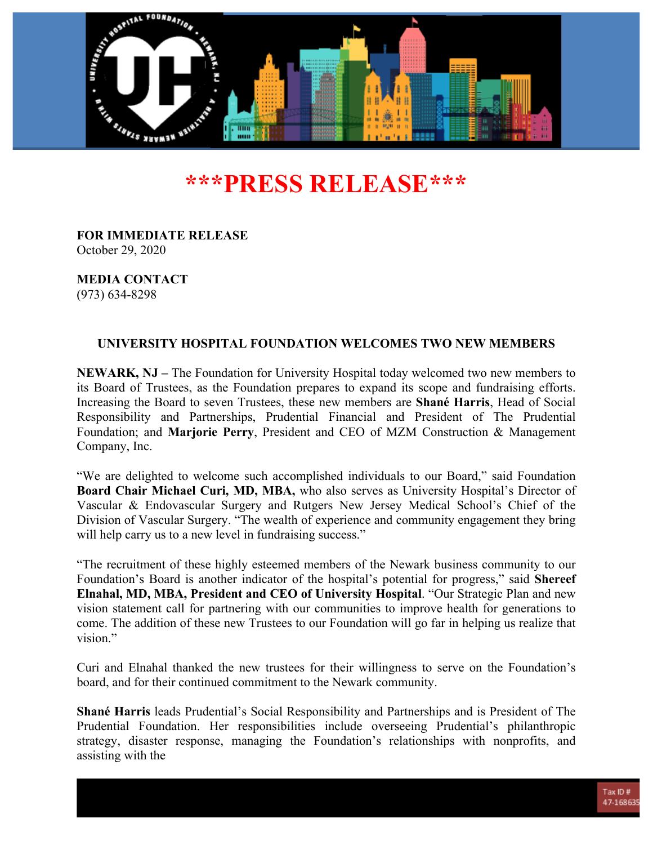

# **\*\*\*PRESS RELEASE\*\*\***

**FOR IMMEDIATE RELEASE** October 29, 2020

**MEDIA CONTACT** (973) 634-8298

## **UNIVERSITY HOSPITAL FOUNDATION WELCOMES TWO NEW MEMBERS**

**NEWARK, NJ –** The Foundation for University Hospital today welcomed two new members to its Board of Trustees, as the Foundation prepares to expand its scope and fundraising efforts. Increasing the Board to seven Trustees, these new members are **Shané Harris**, Head of Social Responsibility and Partnerships, Prudential Financial and President of The Prudential Foundation; and **Marjorie Perry**, President and CEO of MZM Construction & Management Company, Inc.

"We are delighted to welcome such accomplished individuals to our Board," said Foundation **Board Chair Michael Curi, MD, MBA,** who also serves as University Hospital's Director of Vascular & Endovascular Surgery and Rutgers New Jersey Medical School's Chief of the Division of Vascular Surgery. "The wealth of experience and community engagement they bring will help carry us to a new level in fundraising success."

"The recruitment of these highly esteemed members of the Newark business community to our Foundation's Board is another indicator of the hospital's potential for progress," said **Shereef Elnahal, MD, MBA, President and CEO of University Hospital**. "Our Strategic Plan and new vision statement call for partnering with our communities to improve health for generations to come. The addition of these new Trustees to our Foundation will go far in helping us realize that vision."

Curi and Elnahal thanked the new trustees for their willingness to serve on the Foundation's board, and for their continued commitment to the Newark community.

**Shané Harris** leads Prudential's Social Responsibility and Partnerships and is President of The Prudential Foundation. Her responsibilities include overseeing Prudential's philanthropic strategy, disaster response, managing the Foundation's relationships with nonprofits, and assisting with the